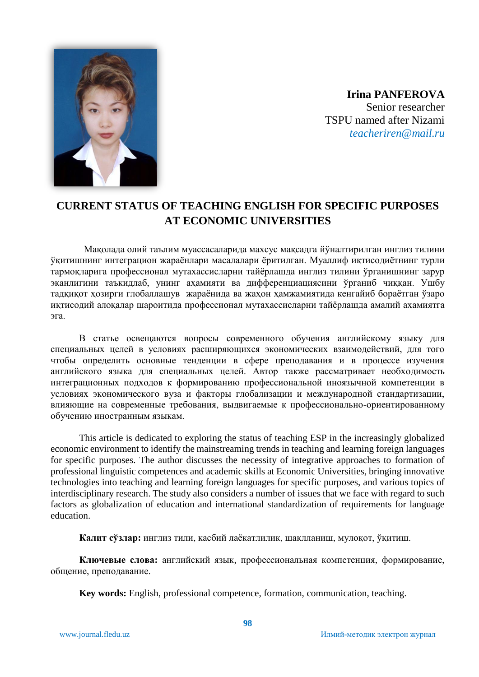

**Irina PANFEROVA** Senior researcher TSPU named after Nizami *teacheriren@mail.ru*

## **CURRENT STATUS OF TEACHING ENGLISH FOR SPECIFIC PURPOSES AT ECONOMIC UNIVERSITIES**

Мақолада олий таълим муассасаларида махсус мақсадга йўналтирилган инглиз тилини ўқитишнинг интеграцион жараёнлари масалалари ёритилган. Муаллиф иқтисодиётнинг турли тармоқларига профессионал мутахассисларни тайёрлашда инглиз тилини ўрганишнинг зарур эканлигини таъкидлаб, унинг аҳамияти ва дифференциациясини ўрганиб чиққан. Ушбу тадқиқот ҳозирги глобаллашув жараёнида ва жаҳон ҳамжамиятида кенгайиб бораётган ўзаро иқтисодий алоқалар шароитида профессионал мутахассисларни тайёрлашда амалий аҳамиятга эга.

В статье освещаются вопросы современного обучения английскому языку для специальных целей в условиях расширяющихся экономических взаимодействий, для того чтобы определить основные тенденции в сфере преподавания и в процессе изучения английского языка для специальных целей. Автор также рассматривает необходимость интеграционных подходов к формированию профессиональной иноязычной компетенции в условиях экономического вуза и факторы глобализации и международной стандартизации, влияющие на современные требования, выдвигаемые к профессионально-ориентированному обучению иностранным языкам.

This article is dedicated to exploring the status of teaching ESP in the increasingly globalized economic environment to identify the mainstreaming trends in teaching and learning foreign languages for specific purposes. The author discusses the necessity of integrative approaches to formation of professional linguistic competences and academic skills at Economic Universities, bringing innovative technologies into teaching and learning foreign languages for specific purposes, and various topics of interdisciplinary research. The study also considers a number of issues that we face with regard to such factors as globalization of education and international standardization of requirements for language education.

**Калит сўзлар:** инглиз тили, касбий лаёкатлилик, шаклланиш, мулоқот, ўқитиш.

**Ключевые слова:** английский язык, профессиональная компетенция, формирование, общение, преподавание.

**Key words:** English, professional competence, formation, communication, teaching.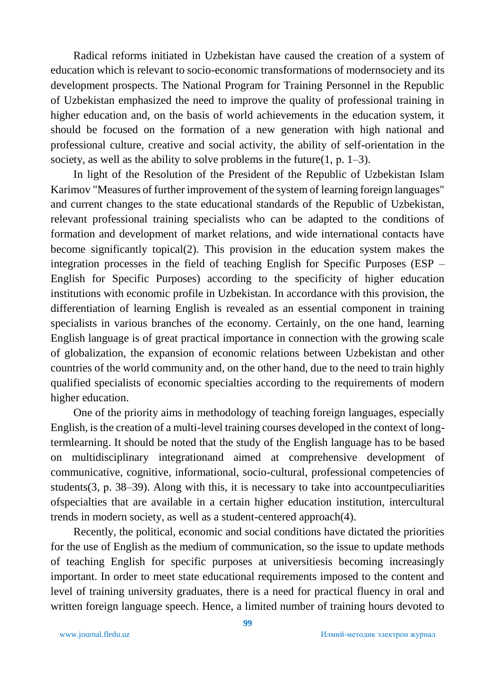Radical reforms initiated in Uzbekistan have caused the creation of a system of education which is relevant to socio-economic transformations of modernsociety and its development prospects. The National Program for Training Personnel in the Republic of Uzbekistan emphasized the need to improve the quality of professional training in higher education and, on the basis of world achievements in the education system, it should be focused on the formation of a new generation with high national and professional culture, creative and social activity, the ability of self-orientation in the society, as well as the ability to solve problems in the future(1, p.  $1-3$ ).

In light of the Resolution of the President of the Republic of Uzbekistan Islam Karimov "Measures of further improvement of the system of learning foreign languages" and current changes to the state educational standards of the Republic of Uzbekistan, relevant professional training specialists who can be adapted to the conditions of formation and development of market relations, and wide international contacts have become significantly topical(2). This provision in the education system makes the integration processes in the field of teaching English for Specific Purposes (ESP – English for Specific Purposes) according to the specificity of higher education institutions with economic profile in Uzbekistan. In accordance with this provision, the differentiation of learning English is revealed as an essential component in training specialists in various branches of the economy. Certainly, on the one hand, learning English language is of great practical importance in connection with the growing scale of globalization, the expansion of economic relations between Uzbekistan and other countries of the world community and, on the other hand, due to the need to train highly qualified specialists of economic specialties according to the requirements of modern higher education.

One of the priority aims in methodology of teaching foreign languages, especially English, is the creation of a multi-level training courses developed in the context of longtermlearning. It should be noted that the study of the English language has to be based on multidisciplinary integrationand aimed at comprehensive development of communicative, cognitive, informational, socio-cultural, professional competencies of students(3, p. 38–39). Along with this, it is necessary to take into accountpeculiarities ofspecialties that are available in a certain higher education institution, intercultural trends in modern society, as well as a student-centered approach(4).

Recently, the political, economic and social conditions have dictated the priorities for the use of English as the medium of communication, so the issue to update methods of teaching English for specific purposes at universitiesis becoming increasingly important. In order to meet state educational requirements imposed to the content and level of training university graduates, there is a need for practical fluency in oral and written foreign language speech. Hence, a limited number of training hours devoted to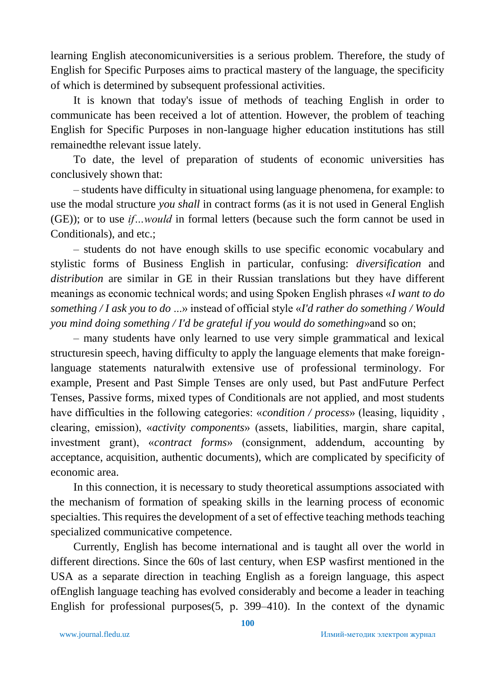learning English ateconomicuniversities is a serious problem. Therefore, the study of English for Specific Purposes aims to practical mastery of the language, the specificity of which is determined by subsequent professional activities.

It is known that today's issue of methods of teaching English in order to communicate has been received a lot of attention. However, the problem of teaching English for Specific Purposes in non-language higher education institutions has still remainedthe relevant issue lately.

To date, the level of preparation of students of economic universities has conclusively shown that:

– students have difficulty in situational using language phenomena, for example: to use the modal structure *you shall* in contract forms (as it is not used in General English (GE)); or to use *if…would* in formal letters (because such the form cannot be used in Conditionals), and etc.;

– students do not have enough skills to use specific economic vocabulary and stylistic forms of Business English in particular, confusing: *diversification* and *distribution* are similar in GE in their Russian translations but they have different meanings as economic technical words; and using Spoken English phrases «*I want to do something / I ask you to do* ...» instead of official style «*I'd rather do something / Would you mind doing something / I'd be grateful if you would do something*»and so on;

– many students have only learned to use very simple grammatical and lexical structuresin speech, having difficulty to apply the language elements that make foreignlanguage statements naturalwith extensive use of professional terminology. For example, Present and Past Simple Tenses are only used, but Past andFuture Perfect Tenses, Passive forms, mixed types of Conditionals are not applied, and most students have difficulties in the following categories: «*condition / process*» (leasing, liquidity , clearing, emission), «*activity components*» (assets, liabilities, margin, share capital, investment grant), «*contract forms*» (consignment, addendum, accounting by acceptance, acquisition, authentic documents), which are complicated by specificity of economic area.

In this connection, it is necessary to study theoretical assumptions associated with the mechanism of formation of speaking skills in the learning process of economic specialties. This requires the development of a set of effective teaching methods teaching specialized communicative competence.

Currently, English has become international and is taught all over the world in different directions. Since the 60s of last century, when ESP wasfirst mentioned in the USA as a separate direction in teaching English as a foreign language, this aspect ofEnglish language teaching has evolved considerably and become a leader in teaching English for professional purposes(5, р. 399–410). In the context of the dynamic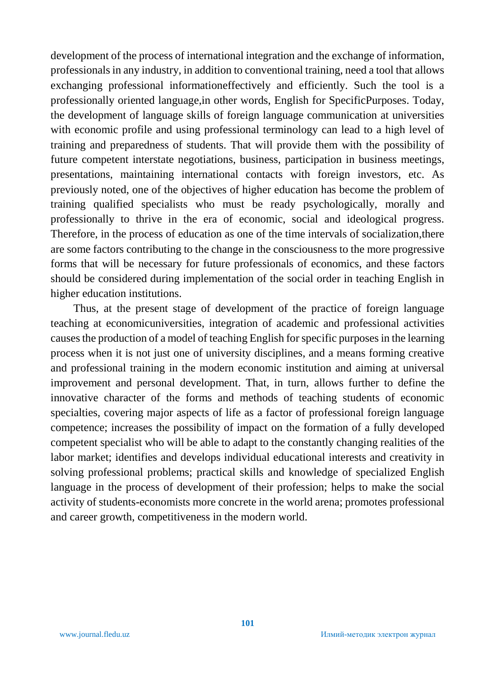development of the process of international integration and the exchange of information, professionals in any industry, in addition to conventional training, need a tool that allows exchanging professional informationeffectively and efficiently. Such the tool is a professionally oriented language,in other words, English for SpecificPurposes. Today, the development of language skills of foreign language communication at universities with economic profile and using professional terminology can lead to a high level of training and preparedness of students. That will provide them with the possibility of future competent interstate negotiations, business, participation in business meetings, presentations, maintaining international contacts with foreign investors, etc. As previously noted, one of the objectives of higher education has become the problem of training qualified specialists who must be ready psychologically, morally and professionally to thrive in the era of economic, social and ideological progress. Therefore, in the process of education as one of the time intervals of socialization,there are some factors contributing to the change in the consciousness to the more progressive forms that will be necessary for future professionals of economics, and these factors should be considered during implementation of the social order in teaching English in higher education institutions.

Thus, at the present stage of development of the practice of foreign language teaching at economicuniversities, integration of academic and professional activities causes the production of a model of teaching English for specific purposes in the learning process when it is not just one of university disciplines, and a means forming creative and professional training in the modern economic institution and aiming at universal improvement and personal development. That, in turn, allows further to define the innovative character of the forms and methods of teaching students of economic specialties, covering major aspects of life as a factor of professional foreign language competence; increases the possibility of impact on the formation of a fully developed competent specialist who will be able to adapt to the constantly changing realities of the labor market; identifies and develops individual educational interests and creativity in solving professional problems; practical skills and knowledge of specialized English language in the process of development of their profession; helps to make the social activity of students-economists more concrete in the world arena; promotes professional and career growth, competitiveness in the modern world.